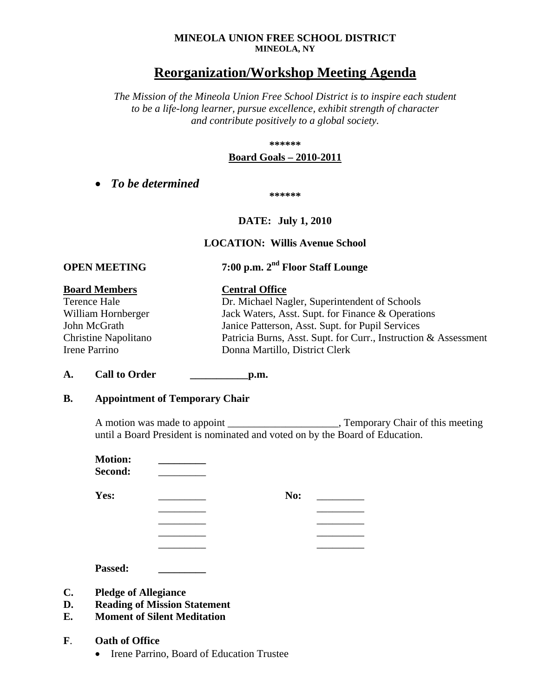### **MINEOLA UNION FREE SCHOOL DISTRICT MINEOLA, NY**

# **Reorganization/Workshop Meeting Agenda**

*The Mission of the Mineola Union Free School District is to inspire each student to be a life-long learner, pursue excellence, exhibit strength of character and contribute positively to a global society.*

### **\*\*\*\*\*\***

### **Board Goals – 2010-2011**

• *To be determined*

**\*\*\*\*\*\***

## **DATE: July 1, 2010**

### **LOCATION: Willis Avenue School**

# **OPEN MEETING 7:00 p.m. 2nd Floor Staff Lounge**

## **Board Members Central Office**

| Terence Hale       | Dr. Michael Nagler, Superintendent of Schools    |
|--------------------|--------------------------------------------------|
| William Hornberger | Jack Waters, Asst. Supt. for Finance & Operation |
| _ _ _              |                                                  |

William Hornberger Jack Waters, Asst. Supt. for Finance & Operations John McGrath Janice Patterson, Asst. Supt. for Pupil Services Christine Napolitano Patricia Burns, Asst. Supt. for Curr., Instruction & Assessment Irene Parrino Donna Martillo, District Clerk

### **A. Call to Order \_\_\_\_\_\_\_\_\_\_\_p.m.**

### **B. Appointment of Temporary Chair**

A motion was made to appoint \_\_\_\_\_\_\_\_\_\_\_\_\_\_\_\_\_\_\_\_\_, Temporary Chair of this meeting until a Board President is nominated and voted on by the Board of Education.

> \_\_\_\_\_\_\_\_\_ \_\_\_\_\_\_\_\_\_ \_\_\_\_\_\_\_\_\_ \_\_\_\_\_\_\_\_\_ \_\_\_\_\_\_\_\_\_ \_\_\_\_\_\_\_\_\_ \_\_\_\_\_\_\_\_\_ \_\_\_\_\_\_\_\_\_

**Motion: \_\_\_\_\_\_\_\_\_ Second:** \_\_\_\_\_\_\_\_\_

**Yes:** \_\_\_\_\_\_\_\_\_\_\_\_\_\_\_\_ No: \_\_\_\_\_\_\_\_\_\_

**Passed: \_\_\_\_\_\_\_\_\_**

- **C. Pledge of Allegiance**
- **D. Reading of Mission Statement**
- **E. Moment of Silent Meditation**
- **F**. **Oath of Office**
	- Irene Parrino, Board of Education Trustee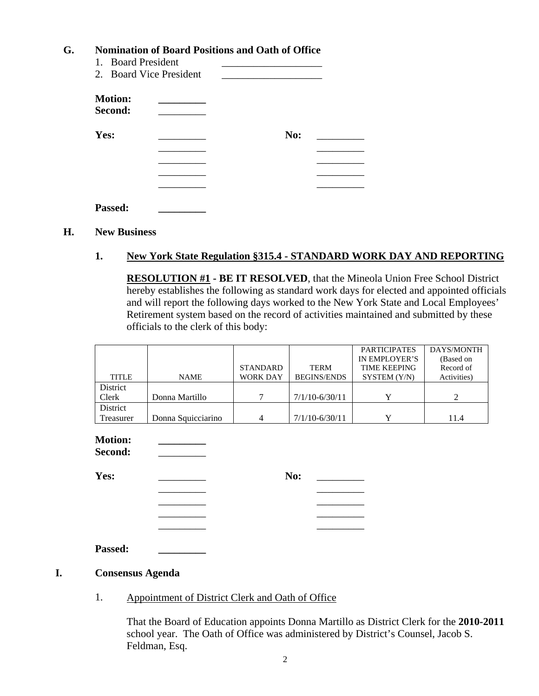## **G. Nomination of Board Positions and Oath of Office**

| 1. Board President        | 2. Board Vice President |     |  |
|---------------------------|-------------------------|-----|--|
| <b>Motion:</b><br>Second: |                         |     |  |
| Yes:                      |                         | No: |  |
|                           |                         |     |  |
|                           |                         |     |  |
| <b>Passed:</b>            |                         |     |  |

### **H. New Business**

## **1. New York State Regulation §315.4 - STANDARD WORK DAY AND REPORTING**

**RESOLUTION #1 - BE IT RESOLVED**, that the Mineola Union Free School District hereby establishes the following as standard work days for elected and appointed officials and will report the following days worked to the New York State and Local Employees' Retirement system based on the record of activities maintained and submitted by these officials to the clerk of this body:

|              |                    |                 |                    | <b>PARTICIPATES</b> | DAYS/MONTH  |
|--------------|--------------------|-----------------|--------------------|---------------------|-------------|
|              |                    |                 |                    | IN EMPLOYER'S       | (Based on   |
|              |                    | <b>STANDARD</b> | <b>TERM</b>        | <b>TIME KEEPING</b> | Record of   |
| <b>TITLE</b> | <b>NAME</b>        | <b>WORK DAY</b> | <b>BEGINS/ENDS</b> | SYSTEM (Y/N)        | Activities) |
| District     |                    |                 |                    |                     |             |
| Clerk        | Donna Martillo     |                 | $7/1/10 - 6/30/11$ |                     |             |
| District     |                    |                 |                    |                     |             |
| Treasurer    | Donna Squicciarino |                 | $7/1/10 - 6/30/11$ |                     | 11.4        |

**Motion: \_\_\_\_\_\_\_\_\_ Second:** \_\_\_\_\_\_\_\_\_

**Yes:** \_\_\_\_\_\_\_\_\_ **No:** \_\_\_\_\_\_\_\_\_

\_\_\_\_\_\_\_\_\_ \_\_\_\_\_\_\_\_\_ \_\_\_\_\_\_\_\_\_ \_\_\_\_\_\_\_\_\_ \_\_\_\_\_\_\_\_\_ \_\_\_\_\_\_\_\_\_ \_\_\_\_\_\_\_\_\_ \_\_\_\_\_\_\_\_\_

**Passed: \_\_\_\_\_\_\_\_\_**

### **I. Consensus Agenda**

1. Appointment of District Clerk and Oath of Office

That the Board of Education appoints Donna Martillo as District Clerk for the **2010-2011** school year. The Oath of Office was administered by District's Counsel, Jacob S. Feldman, Esq.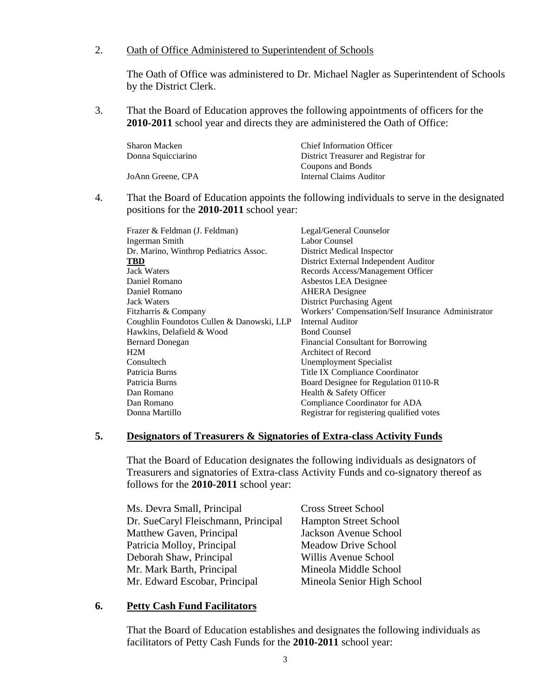### 2. Oath of Office Administered to Superintendent of Schools

The Oath of Office was administered to Dr. Michael Nagler as Superintendent of Schools by the District Clerk.

3. That the Board of Education approves the following appointments of officers for the **2010-2011** school year and directs they are administered the Oath of Office:

| <b>Chief Information Officer</b>     |
|--------------------------------------|
| District Treasurer and Registrar for |
| Coupons and Bonds                    |
| Internal Claims Auditor              |
|                                      |

4. That the Board of Education appoints the following individuals to serve in the designated positions for the **2010-2011** school year:

| Frazer & Feldman (J. Feldman)             | Legal/General Counselor                            |
|-------------------------------------------|----------------------------------------------------|
| Ingerman Smith                            | Labor Counsel                                      |
| Dr. Marino, Winthrop Pediatrics Assoc.    | District Medical Inspector                         |
| <b>TBD</b>                                | District External Independent Auditor              |
| <b>Jack Waters</b>                        | Records Access/Management Officer                  |
| Daniel Romano                             | Asbestos LEA Designee                              |
| Daniel Romano                             | <b>AHERA</b> Designee                              |
| <b>Jack Waters</b>                        | <b>District Purchasing Agent</b>                   |
| Fitzharris & Company                      | Workers' Compensation/Self Insurance Administrator |
| Coughlin Foundotos Cullen & Danowski, LLP | Internal Auditor                                   |
| Hawkins, Delafield & Wood                 | <b>Bond Counsel</b>                                |
| <b>Bernard Donegan</b>                    | <b>Financial Consultant for Borrowing</b>          |
| H2M                                       | Architect of Record                                |
| Consultech                                | Unemployment Specialist                            |
| Patricia Burns                            | Title IX Compliance Coordinator                    |
| Patricia Burns                            | Board Designee for Regulation 0110-R               |
| Dan Romano                                | Health & Safety Officer                            |
| Dan Romano                                | Compliance Coordinator for ADA                     |
| Donna Martillo                            | Registrar for registering qualified votes          |
|                                           |                                                    |

### **5. Designators of Treasurers & Signatories of Extra-class Activity Funds**

That the Board of Education designates the following individuals as designators of Treasurers and signatories of Extra-class Activity Funds and co-signatory thereof as follows for the **2010-2011** school year:

| Ms. Devra Small, Principal          | <b>Cross Street School</b>   |
|-------------------------------------|------------------------------|
| Dr. SueCaryl Fleischmann, Principal | <b>Hampton Street School</b> |
| Matthew Gaven, Principal            | Jackson Avenue School        |
| Patricia Molloy, Principal          | <b>Meadow Drive School</b>   |
| Deborah Shaw, Principal             | Willis Avenue School         |
| Mr. Mark Barth, Principal           | Mineola Middle School        |
| Mr. Edward Escobar, Principal       | Mineola Senior High School   |

### **6. Petty Cash Fund Facilitators**

That the Board of Education establishes and designates the following individuals as facilitators of Petty Cash Funds for the **2010-2011** school year: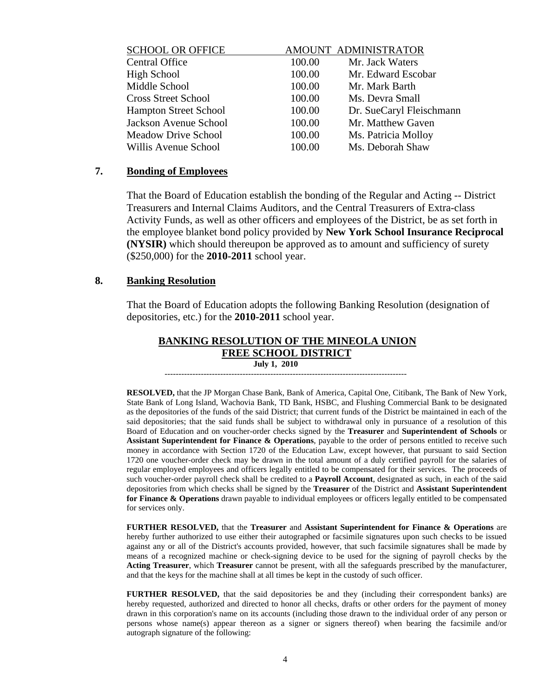| <b>SCHOOL OR OFFICE</b>      |        | AMOUNT ADMINISTRATOR     |
|------------------------------|--------|--------------------------|
| <b>Central Office</b>        | 100.00 | Mr. Jack Waters          |
| High School                  | 100.00 | Mr. Edward Escobar       |
| Middle School                | 100.00 | Mr. Mark Barth           |
| <b>Cross Street School</b>   | 100.00 | Ms. Devra Small          |
| <b>Hampton Street School</b> | 100.00 | Dr. SueCaryl Fleischmann |
| Jackson Avenue School        | 100.00 | Mr. Matthew Gaven        |
| <b>Meadow Drive School</b>   | 100.00 | Ms. Patricia Molloy      |
| Willis Avenue School         | 100.00 | Ms. Deborah Shaw         |
|                              |        |                          |

### **7. Bonding of Employees**

That the Board of Education establish the bonding of the Regular and Acting -- District Treasurers and Internal Claims Auditors, and the Central Treasurers of Extra-class Activity Funds, as well as other officers and employees of the District, be as set forth in the employee blanket bond policy provided by **New York School Insurance Reciprocal (NYSIR)** which should thereupon be approved as to amount and sufficiency of surety (\$250,000) for the **2010-2011** school year.

### **8. Banking Resolution**

That the Board of Education adopts the following Banking Resolution (designation of depositories, etc.) for the **2010-2011** school year.

### **BANKING RESOLUTION OF THE MINEOLA UNION FREE SCHOOL DISTRICT July 1, 2010**

---------------------------------------------------------------------------------------

**RESOLVED,** that the JP Morgan Chase Bank, Bank of America, Capital One, Citibank, The Bank of New York, State Bank of Long Island, Wachovia Bank, TD Bank, HSBC, and Flushing Commercial Bank to be designated as the depositories of the funds of the said District; that current funds of the District be maintained in each of the said depositories; that the said funds shall be subject to withdrawal only in pursuance of a resolution of this Board of Education and on voucher-order checks signed by the **Treasurer** and **Superintendent of Schools** or **Assistant Superintendent for Finance & Operations**, payable to the order of persons entitled to receive such money in accordance with Section 1720 of the Education Law, except however, that pursuant to said Section 1720 one voucher-order check may be drawn in the total amount of a duly certified payroll for the salaries of regular employed employees and officers legally entitled to be compensated for their services. The proceeds of such voucher-order payroll check shall be credited to a **Payroll Account**, designated as such, in each of the said depositories from which checks shall be signed by the **Treasurer** of the District and **Assistant Superintendent for Finance & Operations** drawn payable to individual employees or officers legally entitled to be compensated for services only.

**FURTHER RESOLVED,** that the **Treasurer** and **Assistant Superintendent for Finance & Operations** are hereby further authorized to use either their autographed or facsimile signatures upon such checks to be issued against any or all of the District's accounts provided, however, that such facsimile signatures shall be made by means of a recognized machine or check-signing device to be used for the signing of payroll checks by the **Acting Treasurer**, which **Treasurer** cannot be present, with all the safeguards prescribed by the manufacturer, and that the keys for the machine shall at all times be kept in the custody of such officer.

**FURTHER RESOLVED,** that the said depositories be and they (including their correspondent banks) are hereby requested, authorized and directed to honor all checks, drafts or other orders for the payment of money drawn in this corporation's name on its accounts (including those drawn to the individual order of any person or persons whose name(s) appear thereon as a signer or signers thereof) when bearing the facsimile and/or autograph signature of the following: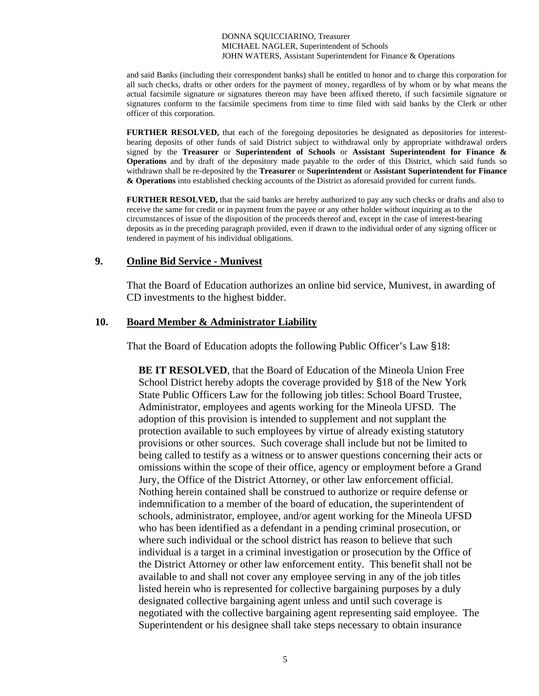and said Banks (including their correspondent banks) shall be entitled to honor and to charge this corporation for all such checks, drafts or other orders for the payment of money, regardless of by whom or by what means the actual facsimile signature or signatures thereon may have been affixed thereto, if such facsimile signature or signatures conform to the facsimile specimens from time to time filed with said banks by the Clerk or other officer of this corporation.

**FURTHER RESOLVED,** that each of the foregoing depositories be designated as depositories for interestbearing deposits of other funds of said District subject to withdrawal only by appropriate withdrawal orders signed by the **Treasurer** or **Superintendent of Schools** or **Assistant Superintendent for Finance & Operations** and by draft of the depository made payable to the order of this District, which said funds so withdrawn shall be re-deposited by the **Treasurer** or **Superintendent** or **Assistant Superintendent for Finance & Operations** into established checking accounts of the District as aforesaid provided for current funds.

**FURTHER RESOLVED,** that the said banks are hereby authorized to pay any such checks or drafts and also to receive the same for credit or in payment from the payee or any other holder without inquiring as to the circumstances of issue of the disposition of the proceeds thereof and, except in the case of interest-bearing deposits as in the preceding paragraph provided, even if drawn to the individual order of any signing officer or tendered in payment of his individual obligations.

### **9. Online Bid Service - Munivest**

That the Board of Education authorizes an online bid service, Munivest, in awarding of CD investments to the highest bidder.

### **10. Board Member & Administrator Liability**

That the Board of Education adopts the following Public Officer's Law §18:

**BE IT RESOLVED**, that the Board of Education of the Mineola Union Free School District hereby adopts the coverage provided by §18 of the New York State Public Officers Law for the following job titles: School Board Trustee, Administrator, employees and agents working for the Mineola UFSD. The adoption of this provision is intended to supplement and not supplant the protection available to such employees by virtue of already existing statutory provisions or other sources. Such coverage shall include but not be limited to being called to testify as a witness or to answer questions concerning their acts or omissions within the scope of their office, agency or employment before a Grand Jury, the Office of the District Attorney, or other law enforcement official. Nothing herein contained shall be construed to authorize or require defense or indemnification to a member of the board of education, the superintendent of schools, administrator, employee, and/or agent working for the Mineola UFSD who has been identified as a defendant in a pending criminal prosecution, or where such individual or the school district has reason to believe that such individual is a target in a criminal investigation or prosecution by the Office of the District Attorney or other law enforcement entity. This benefit shall not be available to and shall not cover any employee serving in any of the job titles listed herein who is represented for collective bargaining purposes by a duly designated collective bargaining agent unless and until such coverage is negotiated with the collective bargaining agent representing said employee. The Superintendent or his designee shall take steps necessary to obtain insurance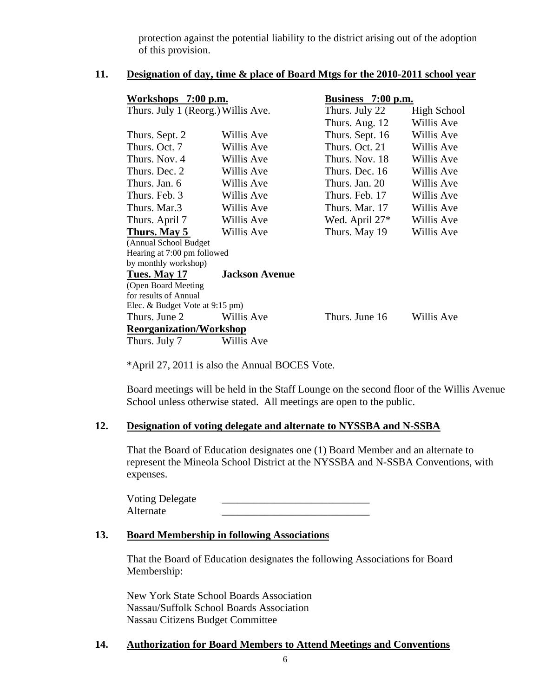protection against the potential liability to the district arising out of the adoption of this provision.

### **11. Designation of day, time & place of Board Mtgs for the 2010-2011 school year**

| Workshops 7:00 p.m.                |                       | Business 7:00 p.m. |                    |  |
|------------------------------------|-----------------------|--------------------|--------------------|--|
| Thurs. July 1 (Reorg.) Willis Ave. |                       | Thurs. July 22     | <b>High School</b> |  |
|                                    |                       | Thurs. Aug. 12     | Willis Ave         |  |
| Thurs. Sept. 2                     | Willis Ave            | Thurs. Sept. 16    | Willis Ave         |  |
| Thurs. Oct. 7                      | Willis Ave            | Thurs. Oct. 21     | Willis Ave         |  |
| Thurs. Nov. 4                      | Willis Ave            | Thurs. Nov. 18     | Willis Ave         |  |
| Thurs. Dec. 2                      | Willis Ave            | Thurs. Dec. 16     | Willis Ave         |  |
| Thurs. Jan. 6                      | Willis Ave            | Thurs. Jan. 20     | Willis Ave         |  |
| Thurs. Feb. 3                      | Willis Ave            | Thurs. Feb. 17     | Willis Ave         |  |
| Thurs. Mar.3                       | Willis Ave            | Thurs. Mar. 17     | Willis Ave         |  |
| Thurs. April 7                     | Willis Ave            | Wed. April $27*$   | Willis Ave         |  |
| Thurs. May 5                       | Willis Ave            | Thurs. May 19      | Willis Ave         |  |
| (Annual School Budget              |                       |                    |                    |  |
| Hearing at 7:00 pm followed        |                       |                    |                    |  |
| by monthly workshop)               |                       |                    |                    |  |
| Tues. May 17                       | <b>Jackson Avenue</b> |                    |                    |  |
| (Open Board Meeting                |                       |                    |                    |  |
| for results of Annual              |                       |                    |                    |  |
| Elec. & Budget Vote at 9:15 pm)    |                       |                    |                    |  |
| Thurs. June 2                      | Willis Ave            | Thurs. June 16     | Willis Ave         |  |
| <b>Reorganization/Workshop</b>     |                       |                    |                    |  |
| Thurs. July 7                      | Willis Ave            |                    |                    |  |

\*April 27, 2011 is also the Annual BOCES Vote.

Board meetings will be held in the Staff Lounge on the second floor of the Willis Avenue School unless otherwise stated. All meetings are open to the public.

### **12. Designation of voting delegate and alternate to NYSSBA and N-SSBA**

That the Board of Education designates one (1) Board Member and an alternate to represent the Mineola School District at the NYSSBA and N-SSBA Conventions, with expenses.

| <b>Voting Delegate</b> |  |
|------------------------|--|
| Alternate              |  |

### **13. Board Membership in following Associations**

That the Board of Education designates the following Associations for Board Membership:

New York State School Boards Association Nassau/Suffolk School Boards Association Nassau Citizens Budget Committee

## **14. Authorization for Board Members to Attend Meetings and Conventions**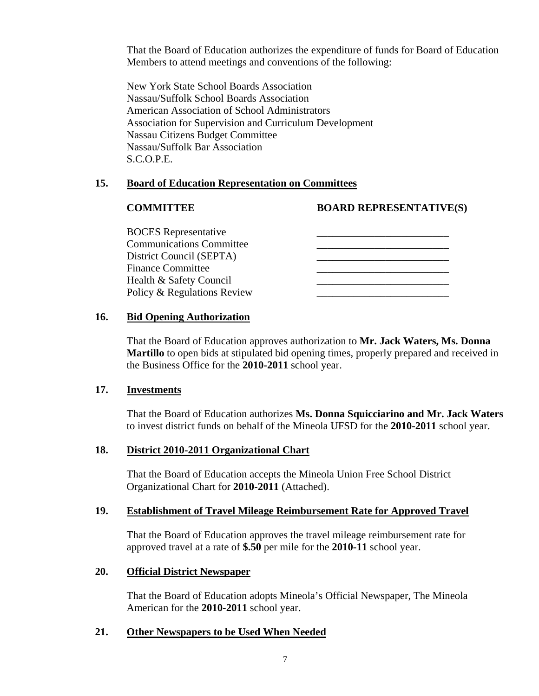That the Board of Education authorizes the expenditure of funds for Board of Education Members to attend meetings and conventions of the following:

New York State School Boards Association Nassau/Suffolk School Boards Association American Association of School Administrators Association for Supervision and Curriculum Development Nassau Citizens Budget Committee Nassau/Suffolk Bar Association S.C.O.P.E.

## **15. Board of Education Representation on Committees**

## **COMMITTEE BOARD REPRESENTATIVE(S)**

| <b>BOCES</b> Representative     |  |
|---------------------------------|--|
| <b>Communications Committee</b> |  |
| District Council (SEPTA)        |  |
| <b>Finance Committee</b>        |  |
| Health & Safety Council         |  |
| Policy & Regulations Review     |  |

## **16. Bid Opening Authorization**

That the Board of Education approves authorization to **Mr. Jack Waters, Ms. Donna Martillo** to open bids at stipulated bid opening times, properly prepared and received in the Business Office for the **2010-2011** school year.

### **17. Investments**

That the Board of Education authorizes **Ms. Donna Squicciarino and Mr. Jack Waters** to invest district funds on behalf of the Mineola UFSD for the **2010-2011** school year.

## **18. District 2010-2011 Organizational Chart**

That the Board of Education accepts the Mineola Union Free School District Organizational Chart for **2010-2011** (Attached).

### **19. Establishment of Travel Mileage Reimbursement Rate for Approved Travel**

That the Board of Education approves the travel mileage reimbursement rate for approved travel at a rate of **\$.50** per mile for the **2010-11** school year.

## **20. Official District Newspaper**

That the Board of Education adopts Mineola's Official Newspaper, The Mineola American for the **2010-2011** school year.

## **21. Other Newspapers to be Used When Needed**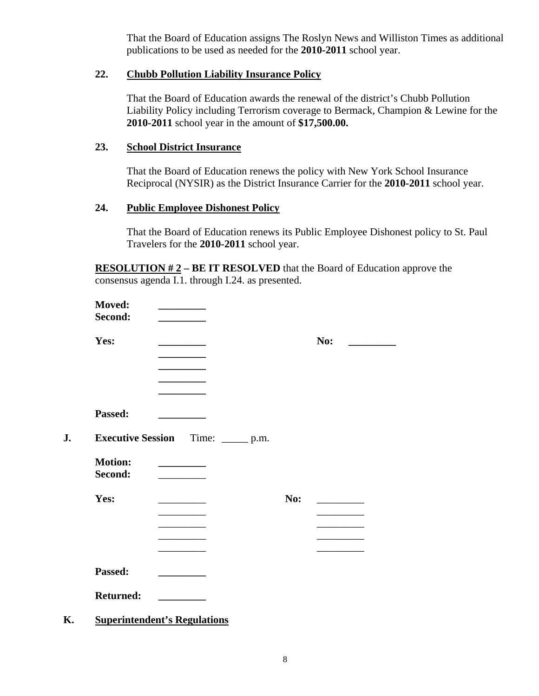That the Board of Education assigns The Roslyn News and Williston Times as additional publications to be used as needed for the **2010-2011** school year.

## **22. Chubb Pollution Liability Insurance Policy**

That the Board of Education awards the renewal of the district's Chubb Pollution Liability Policy including Terrorism coverage to Bermack, Champion & Lewine for the **2010-2011** school year in the amount of **\$17,500.00.**

## **23. School District Insurance**

That the Board of Education renews the policy with New York School Insurance Reciprocal (NYSIR) as the District Insurance Carrier for the **2010-2011** school year.

## **24. Public Employee Dishonest Policy**

That the Board of Education renews its Public Employee Dishonest policy to St. Paul Travelers for the **2010-2011** school year.

**RESOLUTION # 2 – BE IT RESOLVED** that the Board of Education approve the consensus agenda I.1. through I.24. as presented.

| Moved:           |                                                 |     |     |
|------------------|-------------------------------------------------|-----|-----|
| Second:          |                                                 |     |     |
| Yes:             |                                                 |     | No: |
|                  |                                                 |     |     |
|                  |                                                 |     |     |
|                  |                                                 |     |     |
| Passed:          |                                                 |     |     |
|                  | <b>Executive Session</b> Time: ______ p.m.      |     |     |
| <b>Motion:</b>   | <u> 1990 - Johann Barnett, fransk politiker</u> |     |     |
| Second:          |                                                 |     |     |
| Yes:             |                                                 | No: |     |
|                  |                                                 |     |     |
|                  |                                                 |     |     |
|                  |                                                 |     |     |
|                  |                                                 |     |     |
| Passed:          |                                                 |     |     |
| <b>Returned:</b> |                                                 |     |     |
|                  | <b>Superintendent's Regulations</b>             |     |     |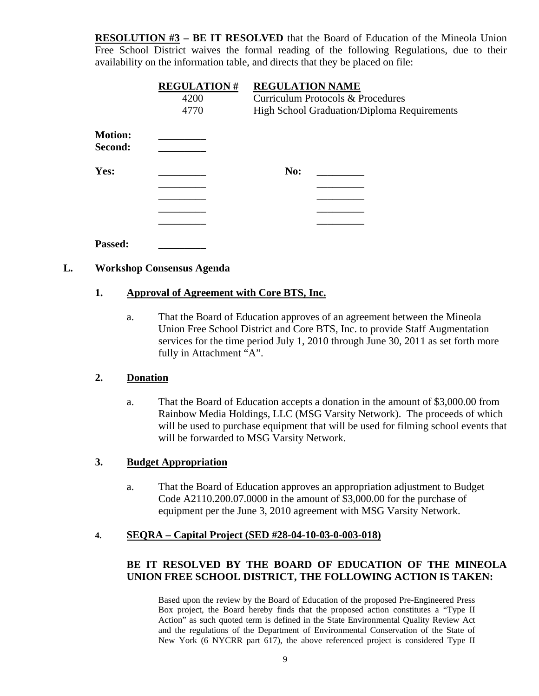**RESOLUTION #3 – BE IT RESOLVED** that the Board of Education of the Mineola Union Free School District waives the formal reading of the following Regulations, due to their availability on the information table, and directs that they be placed on file:

|                           | <b>REGULATION#</b><br>4200 | <b>REGULATION NAME</b><br>Curriculum Protocols & Procedures |  |  |
|---------------------------|----------------------------|-------------------------------------------------------------|--|--|
|                           | 4770                       | High School Graduation/Diploma Requirements                 |  |  |
| <b>Motion:</b><br>Second: |                            |                                                             |  |  |
| Yes:                      |                            | No:                                                         |  |  |
|                           |                            |                                                             |  |  |
|                           |                            |                                                             |  |  |
|                           |                            |                                                             |  |  |
|                           |                            |                                                             |  |  |
| Passed:                   |                            |                                                             |  |  |

## **L. Workshop Consensus Agenda**

## **1. Approval of Agreement with Core BTS, Inc.**

a. That the Board of Education approves of an agreement between the Mineola Union Free School District and Core BTS, Inc. to provide Staff Augmentation services for the time period July 1, 2010 through June 30, 2011 as set forth more fully in Attachment "A".

### **2. Donation**

a. That the Board of Education accepts a donation in the amount of \$3,000.00 from Rainbow Media Holdings, LLC (MSG Varsity Network). The proceeds of which will be used to purchase equipment that will be used for filming school events that will be forwarded to MSG Varsity Network.

### **3. Budget Appropriation**

a. That the Board of Education approves an appropriation adjustment to Budget Code A2110.200.07.0000 in the amount of \$3,000.00 for the purchase of equipment per the June 3, 2010 agreement with MSG Varsity Network.

### **4. SEQRA – Capital Project (SED #28-04-10-03-0-003-018)**

## **BE IT RESOLVED BY THE BOARD OF EDUCATION OF THE MINEOLA UNION FREE SCHOOL DISTRICT, THE FOLLOWING ACTION IS TAKEN:**

Based upon the review by the Board of Education of the proposed Pre-Engineered Press Box project, the Board hereby finds that the proposed action constitutes a "Type II Action" as such quoted term is defined in the State Environmental Quality Review Act and the regulations of the Department of Environmental Conservation of the State of New York (6 NYCRR part 617), the above referenced project is considered Type II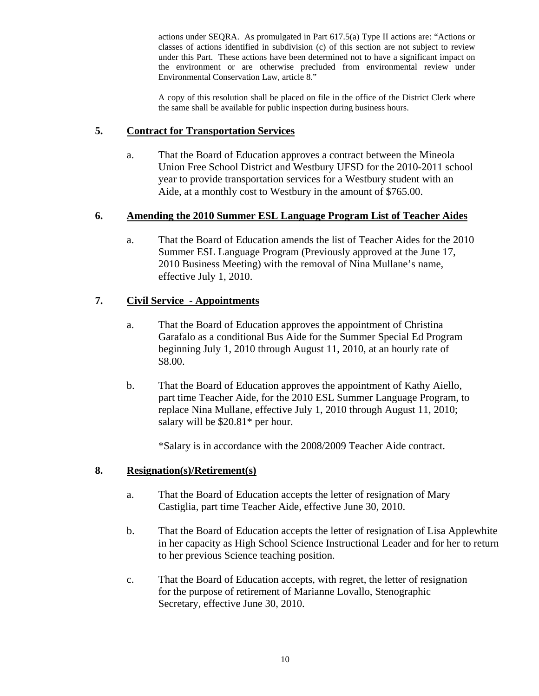actions under SEQRA. As promulgated in Part 617.5(a) Type II actions are: "Actions or classes of actions identified in subdivision (c) of this section are not subject to review under this Part. These actions have been determined not to have a significant impact on the environment or are otherwise precluded from environmental review under Environmental Conservation Law, article 8."

A copy of this resolution shall be placed on file in the office of the District Clerk where the same shall be available for public inspection during business hours.

### **5. Contract for Transportation Services**

a. That the Board of Education approves a contract between the Mineola Union Free School District and Westbury UFSD for the 2010-2011 school year to provide transportation services for a Westbury student with an Aide, at a monthly cost to Westbury in the amount of \$765.00.

## **6. Amending the 2010 Summer ESL Language Program List of Teacher Aides**

a. That the Board of Education amends the list of Teacher Aides for the 2010 Summer ESL Language Program (Previously approved at the June 17, 2010 Business Meeting) with the removal of Nina Mullane's name, effective July 1, 2010.

## **7. Civil Service - Appointments**

- a. That the Board of Education approves the appointment of Christina Garafalo as a conditional Bus Aide for the Summer Special Ed Program beginning July 1, 2010 through August 11, 2010, at an hourly rate of \$8.00.
- b. That the Board of Education approves the appointment of Kathy Aiello, part time Teacher Aide, for the 2010 ESL Summer Language Program, to replace Nina Mullane, effective July 1, 2010 through August 11, 2010; salary will be  $$20.81*$  per hour.

\*Salary is in accordance with the 2008/2009 Teacher Aide contract.

# **8. Resignation(s)/Retirement(s)**

- a. That the Board of Education accepts the letter of resignation of Mary Castiglia, part time Teacher Aide, effective June 30, 2010.
- b. That the Board of Education accepts the letter of resignation of Lisa Applewhite in her capacity as High School Science Instructional Leader and for her to return to her previous Science teaching position.
- c. That the Board of Education accepts, with regret, the letter of resignation for the purpose of retirement of Marianne Lovallo, Stenographic Secretary, effective June 30, 2010.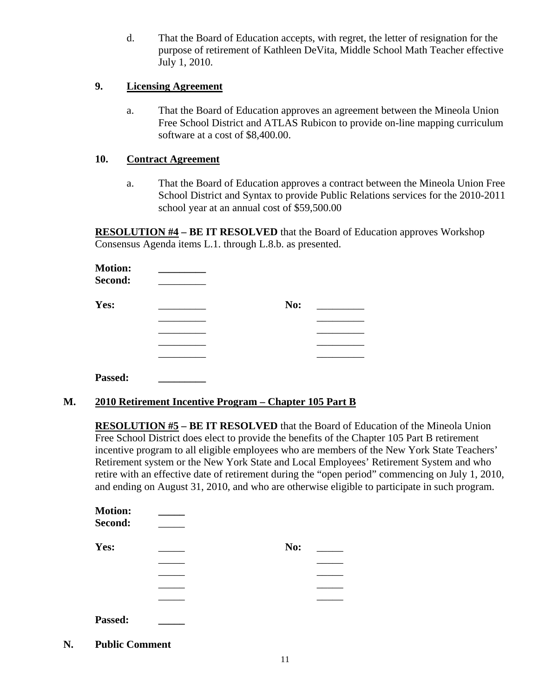d. That the Board of Education accepts, with regret, the letter of resignation for the purpose of retirement of Kathleen DeVita, Middle School Math Teacher effective July 1, 2010.

### **9. Licensing Agreement**

a. That the Board of Education approves an agreement between the Mineola Union Free School District and ATLAS Rubicon to provide on-line mapping curriculum software at a cost of \$8,400.00.

## **10. Contract Agreement**

a. That the Board of Education approves a contract between the Mineola Union Free School District and Syntax to provide Public Relations services for the 2010-2011 school year at an annual cost of \$59,500.00

**RESOLUTION #4 – BE IT RESOLVED** that the Board of Education approves Workshop Consensus Agenda items L.1. through L.8.b. as presented.

| <b>Motion:</b><br><b>Second:</b> |     |  |
|----------------------------------|-----|--|
| Yes:                             | No: |  |
|                                  |     |  |
|                                  |     |  |
|                                  |     |  |
|                                  |     |  |
|                                  |     |  |

**M. 2010 Retirement Incentive Program – Chapter 105 Part B**

**RESOLUTION #5 – BE IT RESOLVED** that the Board of Education of the Mineola Union Free School District does elect to provide the benefits of the Chapter 105 Part B retirement incentive program to all eligible employees who are members of the New York State Teachers' Retirement system or the New York State and Local Employees' Retirement System and who retire with an effective date of retirement during the "open period" commencing on July 1, 2010, and ending on August 31, 2010, and who are otherwise eligible to participate in such program.

| <b>Motion:</b><br>Second: |     |  |
|---------------------------|-----|--|
| Yes:                      | No: |  |
|                           |     |  |
|                           |     |  |
|                           |     |  |
|                           |     |  |
| Passed:                   |     |  |

**N. Public Comment**

**Passed: \_\_\_\_\_\_\_\_\_**